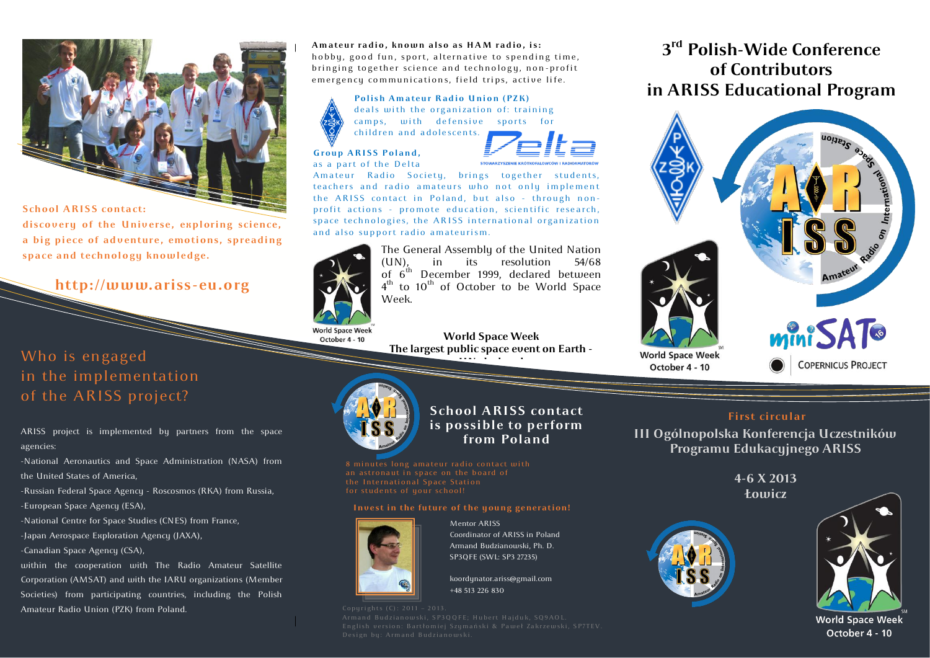

### **School ARISS contact:**

discovery of the Universe, exploring science, a big piece of adventure, emotions, spreading space and technology knowledge.

**http://www.ariss-eu.org**

Who is engaged in the implementation of the ARISS project?

ARISS project is implemented by partners from the space agencies:

-National Aeronautics and Space Administration (NASA) from the United States of America,

-Russian Federal Space Agency - Roscosmos (RKA) from Russia, -European Space Agency (ESA),

-National Centre for Space Studies (CNES) from France,

-Japan Aerospace Exploration Agency (JAXA),

-Canadian Space Agency (CSA),

within the cooperation with The Radio Amateur Satellite Corporation (AMSAT) and with the IARU organizations (Member Societies) from participating countries, including the Polish Amateur Radio Union (PZK) from Poland.

A mateur radio, known also as HAM radio, is: hobby, good fun, sport, alternative to spending time, bringing together science and technology, non-profit emergency communications, field trips, active life.

### **Polish Amateur Radio Union (PZK)** deals with the organization of: training camps, with defensive sports for children and adolescents.



Group ARISS Poland, as a part of the Delta

Amateur Radio Society, brings together students, teachers and radio amateurs who not only implement the ARISS contact in Poland, but also - through nonprofit actions - promote education, scientific research, space technologies, the ARISS international organization and also support radio amateurism.



October 4 - 10

The General Assembly of the United Nation  $(UN)$ , in its resolution 54/68 of  $6^{th}$  December 1999, declared between 4<sup>th</sup> to 10<sup>th</sup> of October to be World Space Week.

**World Space Week The largest public space event on Earth - UN-declared**



**School ARISS contact is possible to perform from Poland**

an astronaut in space on the board of the International Space Station

#### Invest in the future of the young generation!



Mentor ARISS Coordinator of ARISS in Poland Armand Budzianowski, Ph. D. SP3QFE (SWL: SP3 27235)

koordynator.ariss@gmail.com +48 513 226 830

### **3 rd Polish-Wide Conference of Contributors in ARISS Educational Program**



### **First circular**

**III Ogólnopolska Konferencja Uczestników Programu Edukacyjnego ARISS**

> **4-6 X 2013 Łowicz**





October 4 - 10